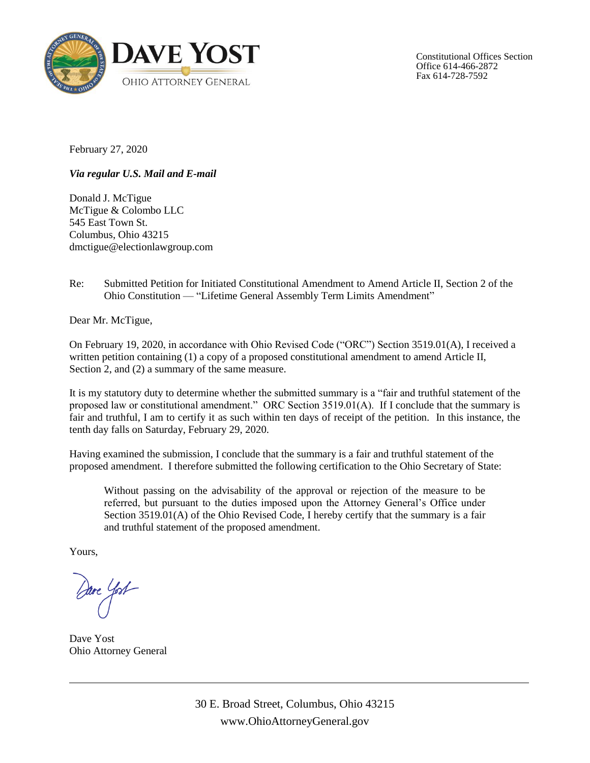

Constitutional Offices Section Office 614-466-2872 Fax 614-728-7592

February 27, 2020

*Via regular U.S. Mail and E-mail*

Donald J. McTigue McTigue & Colombo LLC 545 East Town St. Columbus, Ohio 43215 dmctigue@electionlawgroup.com

Re: Submitted Petition for Initiated Constitutional Amendment to Amend Article II, Section 2 of the Ohio Constitution — "Lifetime General Assembly Term Limits Amendment"

Dear Mr. McTigue,

On February 19, 2020, in accordance with Ohio Revised Code ("ORC") Section 3519.01(A), I received a written petition containing (1) a copy of a proposed constitutional amendment to amend Article II, Section 2, and (2) a summary of the same measure.

It is my statutory duty to determine whether the submitted summary is a "fair and truthful statement of the proposed law or constitutional amendment." ORC Section 3519.01(A). If I conclude that the summary is fair and truthful, I am to certify it as such within ten days of receipt of the petition. In this instance, the tenth day falls on Saturday, February 29, 2020.

Having examined the submission, I conclude that the summary is a fair and truthful statement of the proposed amendment. I therefore submitted the following certification to the Ohio Secretary of State:

Without passing on the advisability of the approval or rejection of the measure to be referred, but pursuant to the duties imposed upon the Attorney General's Office under Section 3519.01(A) of the Ohio Revised Code, I hereby certify that the summary is a fair and truthful statement of the proposed amendment.

Yours,

are Yost

Dave Yost Ohio Attorney General

30 E. Broad Street, Columbus, Ohio 43215 www.OhioAttorneyGeneral.gov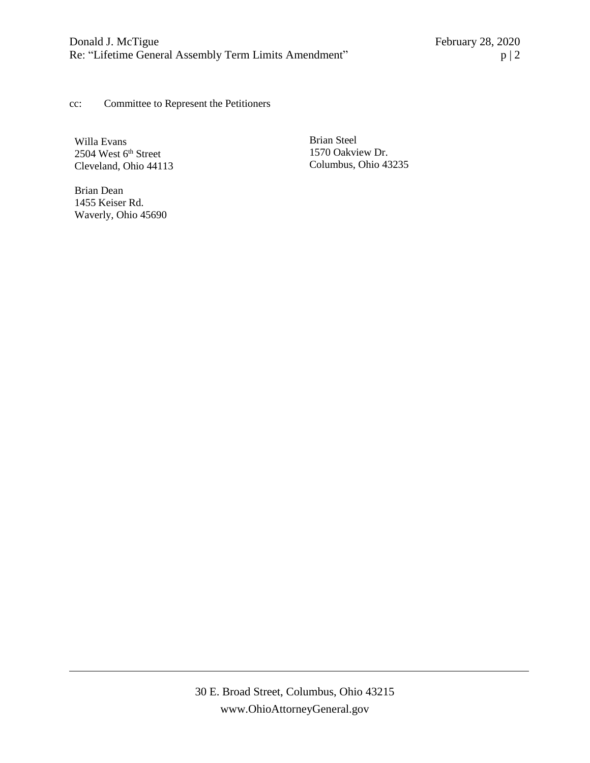cc: Committee to Represent the Petitioners

Willa Evans 2504 West 6<sup>th</sup> Street Cleveland, Ohio 44113

Brian Dean 1455 Keiser Rd. Waverly, Ohio 45690 Brian Steel 1570 Oakview Dr. Columbus, Ohio 43235